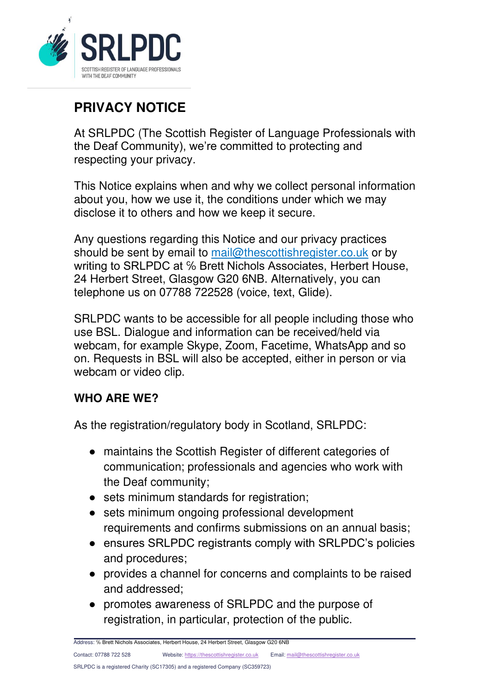

# **PRIVACY NOTICE**

At SRLPDC (The Scottish Register of Language Professionals with the Deaf Community), we're committed to protecting and respecting your privacy.

This Notice explains when and why we collect personal information about you, how we use it, the conditions under which we may disclose it to others and how we keep it secure.

Any questions regarding this Notice and our privacy practices should be sent by email to [mail@thescottishregister.co.uk](mailto:mail@thescottishregister.co.uk) or by writing to SRLPDC at % Brett Nichols Associates, Herbert House, 24 Herbert Street, Glasgow G20 6NB. Alternatively, you can telephone us on 07788 722528 (voice, text, Glide).

SRLPDC wants to be accessible for all people including those who use BSL. Dialogue and information can be received/held via webcam, for example Skype, Zoom, Facetime, WhatsApp and so on. Requests in BSL will also be accepted, either in person or via webcam or video clip.

### **WHO ARE WE?**

As the registration/regulatory body in Scotland, SRLPDC:

- maintains the Scottish Register of different categories of communication; professionals and agencies who work with the Deaf community;
- sets minimum standards for registration;
- sets minimum ongoing professional development requirements and confirms submissions on an annual basis;
- ensures SRLPDC registrants comply with SRLPDC's policies and procedures;
- provides a channel for concerns and complaints to be raised and addressed;
- promotes awareness of SRLPDC and the purpose of registration, in particular, protection of the public.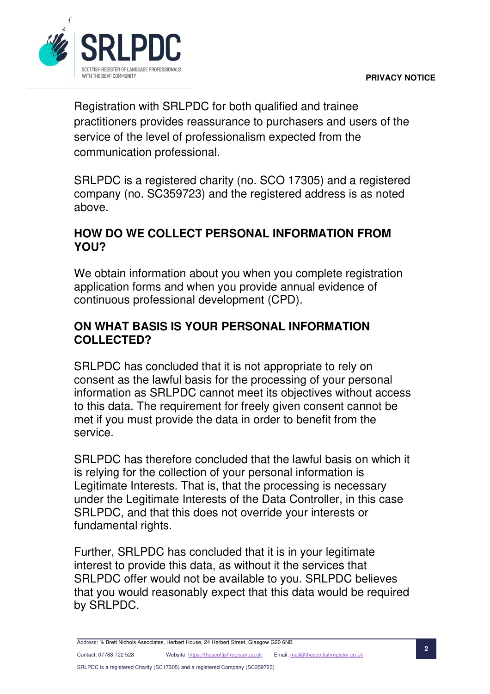

Registration with SRLPDC for both qualified and trainee practitioners provides reassurance to purchasers and users of the service of the level of professionalism expected from the communication professional.

SRLPDC is a registered charity (no. SCO 17305) and a registered company (no. SC359723) and the registered address is as noted above.

### **HOW DO WE COLLECT PERSONAL INFORMATION FROM YOU?**

We obtain information about you when you complete registration application forms and when you provide annual evidence of continuous professional development (CPD).

#### **ON WHAT BASIS IS YOUR PERSONAL INFORMATION COLLECTED?**

SRLPDC has concluded that it is not appropriate to rely on consent as the lawful basis for the processing of your personal information as SRLPDC cannot meet its objectives without access to this data. The requirement for freely given consent cannot be met if you must provide the data in order to benefit from the service.

SRLPDC has therefore concluded that the lawful basis on which it is relying for the collection of your personal information is Legitimate Interests. That is, that the processing is necessary under the Legitimate Interests of the Data Controller, in this case SRLPDC, and that this does not override your interests or fundamental rights.

Further, SRLPDC has concluded that it is in your legitimate interest to provide this data, as without it the services that SRLPDC offer would not be available to you. SRLPDC believes that you would reasonably expect that this data would be required by SRLPDC.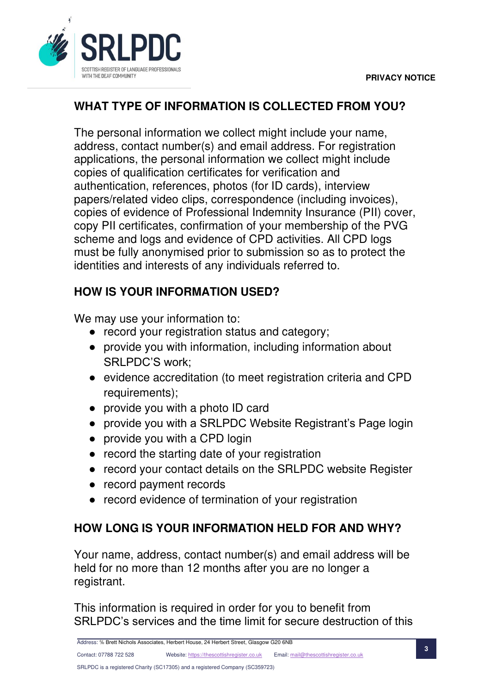

## **WHAT TYPE OF INFORMATION IS COLLECTED FROM YOU?**

The personal information we collect might include your name, address, contact number(s) and email address. For registration applications, the personal information we collect might include copies of qualification certificates for verification and authentication, references, photos (for ID cards), interview papers/related video clips, correspondence (including invoices), copies of evidence of Professional Indemnity Insurance (PII) cover, copy PII certificates, confirmation of your membership of the PVG scheme and logs and evidence of CPD activities. All CPD logs must be fully anonymised prior to submission so as to protect the identities and interests of any individuals referred to.

## **HOW IS YOUR INFORMATION USED?**

We may use your information to:

- record your registration status and category;
- provide you with information, including information about SRLPDC'S work;
- evidence accreditation (to meet registration criteria and CPD requirements);
- provide you with a photo ID card
- provide you with a SRLPDC Website Registrant's Page login
- provide you with a CPD login
- record the starting date of your registration
- record your contact details on the SRLPDC website Register
- record payment records
- record evidence of termination of your registration

# **HOW LONG IS YOUR INFORMATION HELD FOR AND WHY?**

Your name, address, contact number(s) and email address will be held for no more than 12 months after you are no longer a registrant.

This information is required in order for you to benefit from SRLPDC's services and the time limit for secure destruction of this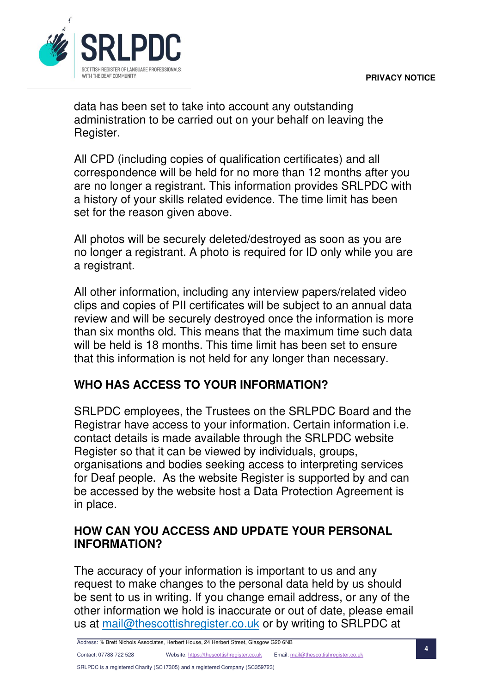

data has been set to take into account any outstanding administration to be carried out on your behalf on leaving the Register.

All CPD (including copies of qualification certificates) and all correspondence will be held for no more than 12 months after you are no longer a registrant. This information provides SRLPDC with a history of your skills related evidence. The time limit has been set for the reason given above.

All photos will be securely deleted/destroyed as soon as you are no longer a registrant. A photo is required for ID only while you are a registrant.

All other information, including any interview papers/related video clips and copies of PII certificates will be subject to an annual data review and will be securely destroyed once the information is more than six months old. This means that the maximum time such data will be held is 18 months. This time limit has been set to ensure that this information is not held for any longer than necessary.

### **WHO HAS ACCESS TO YOUR INFORMATION?**

SRLPDC employees, the Trustees on the SRLPDC Board and the Registrar have access to your information. Certain information i.e. contact details is made available through the SRLPDC website Register so that it can be viewed by individuals, groups, organisations and bodies seeking access to interpreting services for Deaf people. As the website Register is supported by and can be accessed by the website host a Data Protection Agreement is in place.

#### **HOW CAN YOU ACCESS AND UPDATE YOUR PERSONAL INFORMATION?**

The accuracy of your information is important to us and any request to make changes to the personal data held by us should be sent to us in writing. If you change email address, or any of the other information we hold is inaccurate or out of date, please email us at [mail@thescottishregister.co.uk](mailto:mail@thescottishregister.co.uk) or by writing to SRLPDC at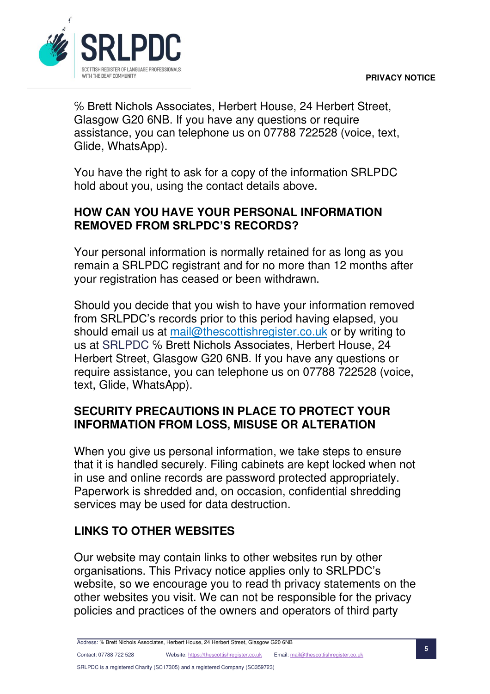

℅ Brett Nichols Associates, Herbert House, 24 Herbert Street, Glasgow G20 6NB. If you have any questions or require assistance, you can telephone us on 07788 722528 (voice, text, Glide, WhatsApp).

You have the right to ask for a copy of the information SRLPDC hold about you, using the contact details above.

### **HOW CAN YOU HAVE YOUR PERSONAL INFORMATION REMOVED FROM SRLPDC'S RECORDS?**

Your personal information is normally retained for as long as you remain a SRLPDC registrant and for no more than 12 months after your registration has ceased or been withdrawn.

Should you decide that you wish to have your information removed from SRLPDC's records prior to this period having elapsed, you should email us at [mail@thescottishregister.co.uk](mailto:mail@thescottishregister.co.uk) or by writing to us at SRLPDC ℅ Brett Nichols Associates, Herbert House, 24 Herbert Street, Glasgow G20 6NB. If you have any questions or require assistance, you can telephone us on 07788 722528 (voice, text, Glide, WhatsApp).

### **SECURITY PRECAUTIONS IN PLACE TO PROTECT YOUR INFORMATION FROM LOSS, MISUSE OR ALTERATION**

When you give us personal information, we take steps to ensure that it is handled securely. Filing cabinets are kept locked when not in use and online records are password protected appropriately. Paperwork is shredded and, on occasion, confidential shredding services may be used for data destruction.

## **LINKS TO OTHER WEBSITES**

Our website may contain links to other websites run by other organisations. This Privacy notice applies only to SRLPDC's website, so we encourage you to read th privacy statements on the other websites you visit. We can not be responsible for the privacy policies and practices of the owners and operators of third party